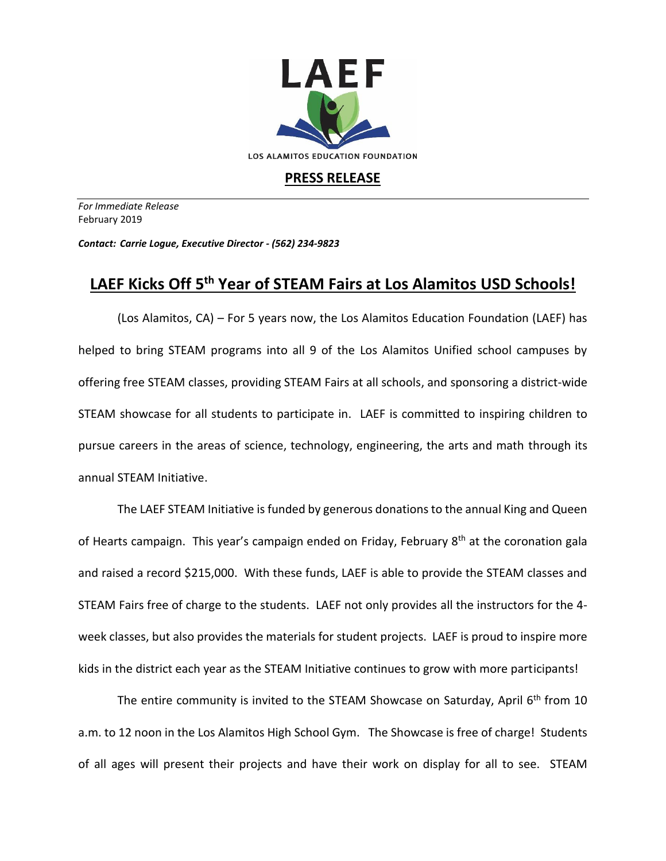

## **PRESS RELEASE**

*For Immediate Release*  February 2019

*Contact: Carrie Logue, Executive Director - (562) 234-9823*

## **LAEF Kicks Off 5 th Year of STEAM Fairs at Los Alamitos USD Schools!**

(Los Alamitos, CA) – For 5 years now, the Los Alamitos Education Foundation (LAEF) has helped to bring STEAM programs into all 9 of the Los Alamitos Unified school campuses by offering free STEAM classes, providing STEAM Fairs at all schools, and sponsoring a district-wide STEAM showcase for all students to participate in. LAEF is committed to inspiring children to pursue careers in the areas of science, technology, engineering, the arts and math through its annual STEAM Initiative.

The LAEF STEAM Initiative is funded by generous donations to the annual King and Queen of Hearts campaign. This year's campaign ended on Friday, February 8<sup>th</sup> at the coronation gala and raised a record \$215,000. With these funds, LAEF is able to provide the STEAM classes and STEAM Fairs free of charge to the students. LAEF not only provides all the instructors for the 4 week classes, but also provides the materials for student projects. LAEF is proud to inspire more kids in the district each year as the STEAM Initiative continues to grow with more participants!

The entire community is invited to the STEAM Showcase on Saturday, April 6<sup>th</sup> from 10 a.m. to 12 noon in the Los Alamitos High School Gym. The Showcase is free of charge! Students of all ages will present their projects and have their work on display for all to see. STEAM